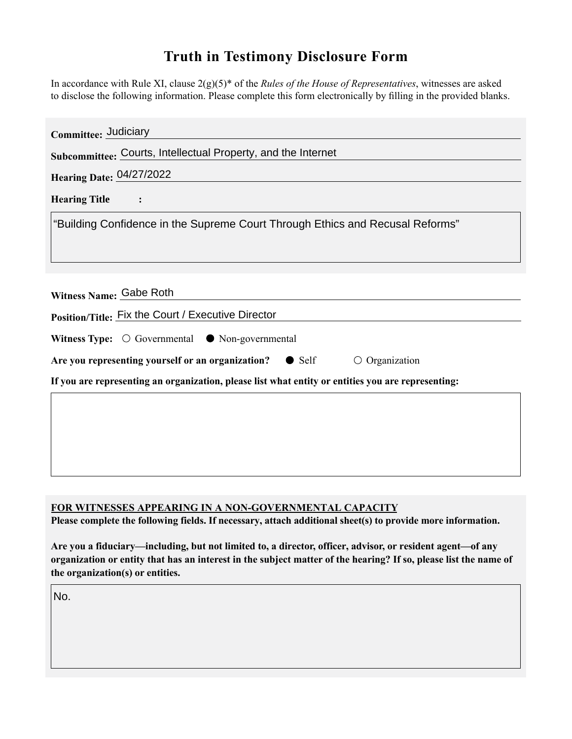## **Truth in Testimony Disclosure Form**

In accordance with Rule XI, clause 2(g)(5)\* of the *Rules of the House of Representatives*, witnesses are asked to disclose the following information. Please complete this form electronically by filling in the provided blanks.

| Committee: Judiciary                                                                               |
|----------------------------------------------------------------------------------------------------|
| Subcommittee: Courts, Intellectual Property, and the Internet                                      |
| Hearing Date: 04/27/2022                                                                           |
| <b>Hearing Title</b>                                                                               |
| "Building Confidence in the Supreme Court Through Ethics and Recusal Reforms"                      |
| Witness Name: Gabe Roth<br>Position/Title: Fix the Court / Executive Director                      |
| Witness Type: $\bigcirc$ Governmental $\bullet$ Non-governmental                                   |
| Are you representing yourself or an organization?<br>$\bullet$ Self<br>$\circ$ Organization        |
| If you are representing an organization, please list what entity or entities you are representing: |
|                                                                                                    |
|                                                                                                    |
|                                                                                                    |
|                                                                                                    |

## **FOR WITNESSES APPEARING IN A NON-GOVERNMENTAL CAPACITY**

**Please complete the following fields. If necessary, attach additional sheet(s) to provide more information.**

**Are you a fiduciary—including, but not limited to, a director, officer, advisor, or resident agent—of any organization or entity that has an interest in the subject matter of the hearing? If so, please list the name of the organization(s) or entities.**

No.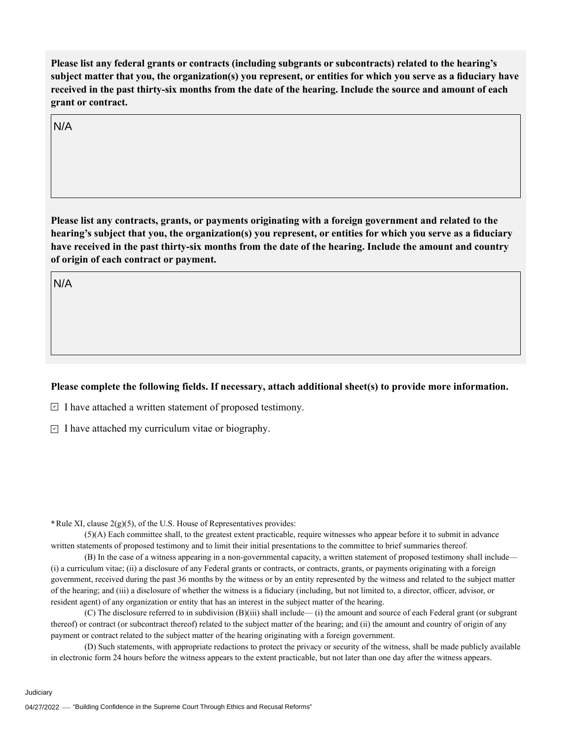**Please list any federal grants or contracts (including subgrants or subcontracts) related to the hearing's subject matter that you, the organization(s) you represent, or entities for which you serve as a fiduciary have received in the past thirty-six months from the date of the hearing. Include the source and amount of each grant or contract.** 

N/A

**Please list any contracts, grants, or payments originating with a foreign government and related to the hearing's subject that you, the organization(s) you represent, or entities for which you serve as a fiduciary have received in the past thirty-six months from the date of the hearing. Include the amount and country of origin of each contract or payment.** 

N/A

## **Please complete the following fields. If necessary, attach additional sheet(s) to provide more information.**

 $\exists$  I have attached a written statement of proposed testimony.

 $\subseteq$  I have attached my curriculum vitae or biography.

**\***Rule XI, clause 2(g)(5), of the U.S. House of Representatives provides:

(5)(A) Each committee shall, to the greatest extent practicable, require witnesses who appear before it to submit in advance written statements of proposed testimony and to limit their initial presentations to the committee to brief summaries thereof.

(B) In the case of a witness appearing in a non-governmental capacity, a written statement of proposed testimony shall include— (i) a curriculum vitae; (ii) a disclosure of any Federal grants or contracts, or contracts, grants, or payments originating with a foreign government, received during the past 36 months by the witness or by an entity represented by the witness and related to the subject matter of the hearing; and (iii) a disclosure of whether the witness is a fiduciary (including, but not limited to, a director, officer, advisor, or resident agent) of any organization or entity that has an interest in the subject matter of the hearing.

(C) The disclosure referred to in subdivision (B)(iii) shall include— (i) the amount and source of each Federal grant (or subgrant thereof) or contract (or subcontract thereof) related to the subject matter of the hearing; and (ii) the amount and country of origin of any payment or contract related to the subject matter of the hearing originating with a foreign government.

(D) Such statements, with appropriate redactions to protect the privacy or security of the witness, shall be made publicly available in electronic form 24 hours before the witness appears to the extent practicable, but not later than one day after the witness appears.